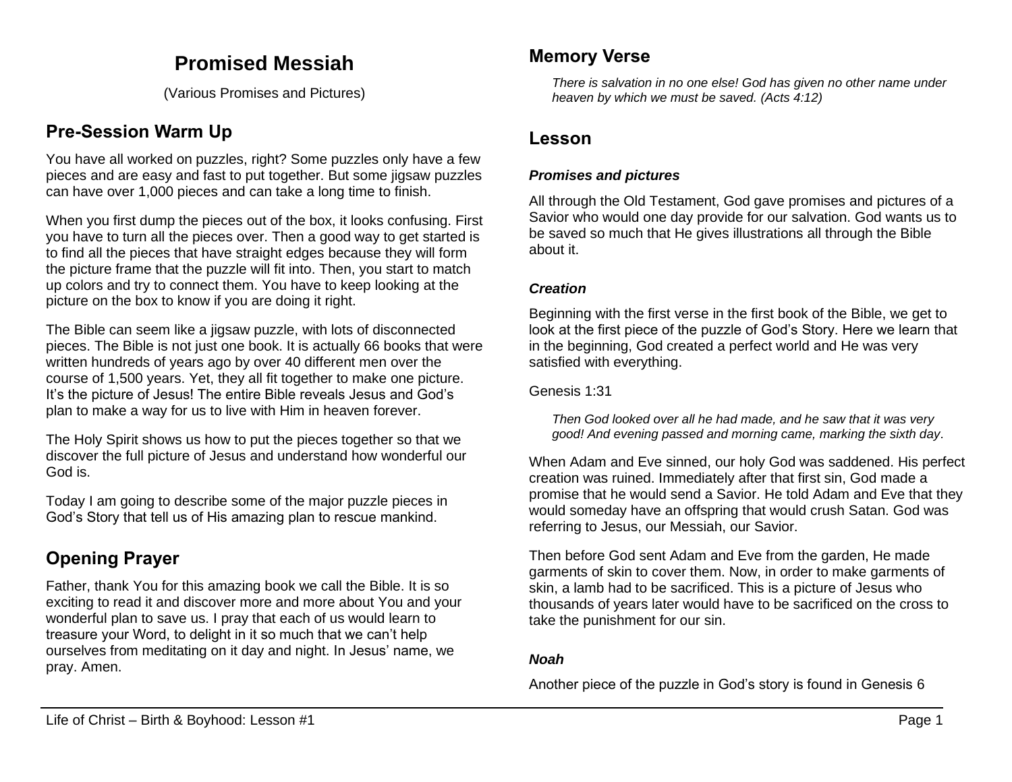# **Promised Messiah**

(Various Promises and Pictures)

# **Pre-Session Warm Up**

You have all worked on puzzles, right? Some puzzles only have a few pieces and are easy and fast to put together. But some jigsaw puzzles can have over 1,000 pieces and can take a long time to finish.

When you first dump the pieces out of the box, it looks confusing. First you have to turn all the pieces over. Then a good way to get started is to find all the pieces that have straight edges because they will form the picture frame that the puzzle will fit into. Then, you start to match up colors and try to connect them. You have to keep looking at the picture on the box to know if you are doing it right.

The Bible can seem like a jigsaw puzzle, with lots of disconnected pieces. The Bible is not just one book. It is actually 66 books that were written hundreds of years ago by over 40 different men over the course of 1,500 years. Yet, they all fit together to make one picture. It's the picture of Jesus! The entire Bible reveals Jesus and God's plan to make a way for us to live with Him in heaven forever.

The Holy Spirit shows us how to put the pieces together so that we discover the full picture of Jesus and understand how wonderful our God is.

Today I am going to describe some of the major puzzle pieces in God's Story that tell us of His amazing plan to rescue mankind.

# **Opening Prayer**

Father, thank You for this amazing book we call the Bible. It is so exciting to read it and discover more and more about You and your wonderful plan to save us. I pray that each of us would learn to treasure your Word, to delight in it so much that we can't help ourselves from meditating on it day and night. In Jesus' name, we pray. Amen.

## **Memory Verse**

*There is salvation in no one else! God has given no other name under heaven by which we must be saved. (Acts 4:12)*

## **Lesson**

## *Promises and pictures*

All through the Old Testament, God gave promises and pictures of a Savior who would one day provide for our salvation. God wants us to be saved so much that He gives illustrations all through the Bible about it.

### *Creation*

Beginning with the first verse in the first book of the Bible, we get to look at the first piece of the puzzle of God's Story. Here we learn that in the beginning, God created a perfect world and He was very satisfied with everything.

Genesis 1:31

*Then God looked over all he had made, and he saw that it was very good! And evening passed and morning came, marking the sixth day.*

When Adam and Eve sinned, our holy God was saddened. His perfect creation was ruined. Immediately after that first sin, God made a promise that he would send a Savior. He told Adam and Eve that they would someday have an offspring that would crush Satan. God was referring to Jesus, our Messiah, our Savior.

Then before God sent Adam and Eve from the garden, He made garments of skin to cover them. Now, in order to make garments of skin, a lamb had to be sacrificed. This is a picture of Jesus who thousands of years later would have to be sacrificed on the cross to take the punishment for our sin.

## *Noah*

Another piece of the puzzle in God's story is found in Genesis 6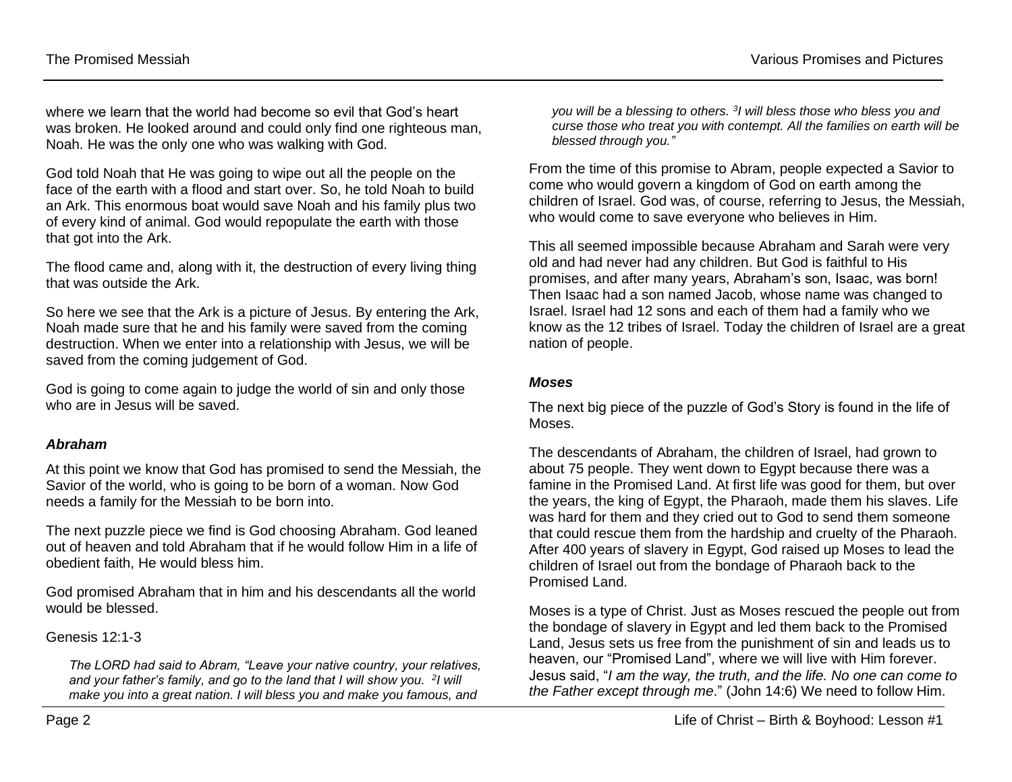where we learn that the world had become so evil that God's heart was broken. He looked around and could only find one righteous man, Noah. He was the only one who was walking with God.

God told Noah that He was going to wipe out all the people on the face of the earth with a flood and start over. So, he told Noah to build an Ark. This enormous boat would save Noah and his family plus two of every kind of animal. God would repopulate the earth with those that got into the Ark.

The flood came and, along with it, the destruction of every living thing that was outside the Ark.

So here we see that the Ark is a picture of Jesus. By entering the Ark, Noah made sure that he and his family were saved from the coming destruction. When we enter into a relationship with Jesus, we will be saved from the coming judgement of God.

God is going to come again to judge the world of sin and only those who are in Jesus will be saved.

#### *Abraham*

At this point we know that God has promised to send the Messiah, the Savior of the world, who is going to be born of a woman. Now God needs a family for the Messiah to be born into.

The next puzzle piece we find is God choosing Abraham. God leaned out of heaven and told Abraham that if he would follow Him in a life of obedient faith, He would bless him.

God promised Abraham that in him and his descendants all the world would be blessed.

Genesis 12:1-3

*The LORD had said to Abram, "Leave your native country, your relatives,*  and your father's family, and go to the land that I will show you. <sup>2</sup>I will *make you into a great nation. I will bless you and make you famous, and* 

you will be a blessing to others. <sup>3</sup>I will bless those who bless you and *curse those who treat you with contempt. All the families on earth will be blessed through you."*

From the time of this promise to Abram, people expected a Savior to come who would govern a kingdom of God on earth among the children of Israel. God was, of course, referring to Jesus, the Messiah, who would come to save everyone who believes in Him.

This all seemed impossible because Abraham and Sarah were very old and had never had any children. But God is faithful to His promises, and after many years, Abraham's son, Isaac, was born! Then Isaac had a son named Jacob, whose name was changed to Israel. Israel had 12 sons and each of them had a family who we know as the 12 tribes of Israel. Today the children of Israel are a great nation of people.

#### *Moses*

The next big piece of the puzzle of God's Story is found in the life of Moses.

The descendants of Abraham, the children of Israel, had grown to about 75 people. They went down to Egypt because there was a famine in the Promised Land. At first life was good for them, but over the years, the king of Egypt, the Pharaoh, made them his slaves. Life was hard for them and they cried out to God to send them someone that could rescue them from the hardship and cruelty of the Pharaoh. After 400 years of slavery in Egypt, God raised up Moses to lead the children of Israel out from the bondage of Pharaoh back to the Promised Land.

Moses is a type of Christ. Just as Moses rescued the people out from the bondage of slavery in Egypt and led them back to the Promised Land, Jesus sets us free from the punishment of sin and leads us to heaven, our "Promised Land", where we will live with Him forever. Jesus said, "*I am the way, the truth, and the life. No one can come to the Father except through me*." (John 14:6) We need to follow Him.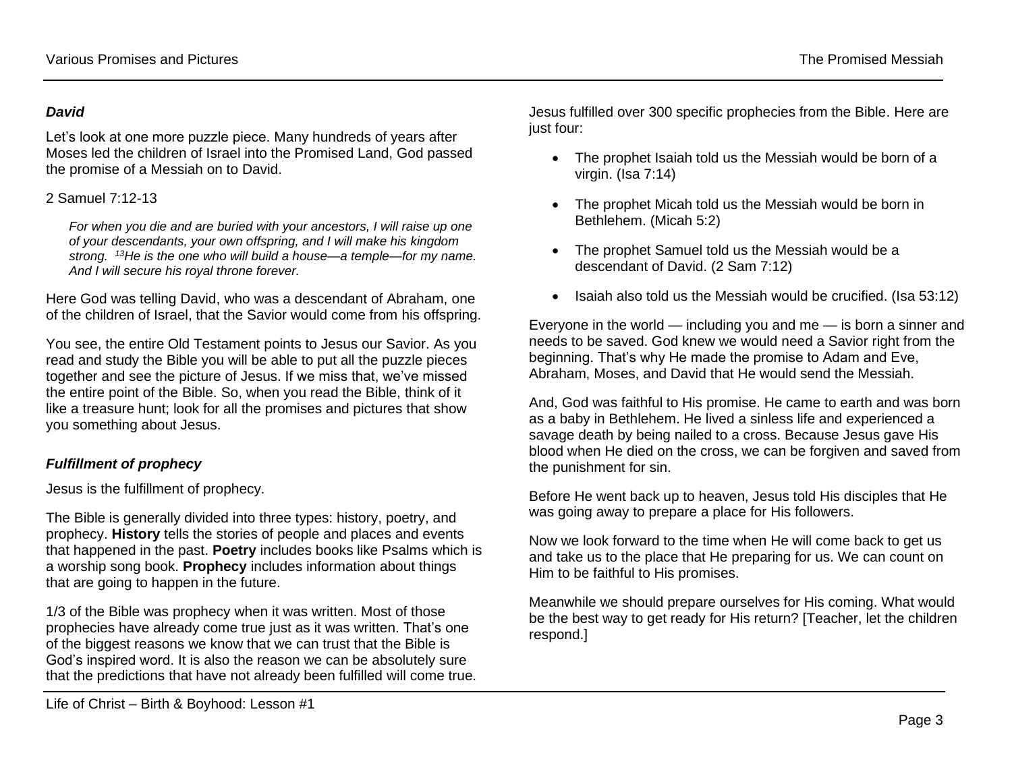#### *David*

Let's look at one more puzzle piece. Many hundreds of years after Moses led the children of Israel into the Promised Land, God passed the promise of a Messiah on to David.

#### 2 Samuel 7:12-13

*For when you die and are buried with your ancestors, I will raise up one of your descendants, your own offspring, and I will make his kingdom strong. <sup>13</sup>He is the one who will build a house—a temple—for my name. And I will secure his royal throne forever.*

Here God was telling David, who was a descendant of Abraham, one of the children of Israel, that the Savior would come from his offspring.

You see, the entire Old Testament points to Jesus our Savior. As you read and study the Bible you will be able to put all the puzzle pieces together and see the picture of Jesus. If we miss that, we've missed the entire point of the Bible. So, when you read the Bible, think of it like a treasure hunt; look for all the promises and pictures that show you something about Jesus.

## *Fulfillment of prophecy*

Jesus is the fulfillment of prophecy.

The Bible is generally divided into three types: history, poetry, and prophecy. **History** tells the stories of people and places and events that happened in the past. **Poetry** includes books like Psalms which is a worship song book. **Prophecy** includes information about things that are going to happen in the future.

1/3 of the Bible was prophecy when it was written. Most of those prophecies have already come true just as it was written. That's one of the biggest reasons we know that we can trust that the Bible is God's inspired word. It is also the reason we can be absolutely sure that the predictions that have not already been fulfilled will come true. Jesus fulfilled over 300 specific prophecies from the Bible. Here are just four:

- The prophet Isaiah told us the Messiah would be born of a virgin. (Isa 7:14)
- The prophet Micah told us the Messiah would be born in Bethlehem. (Micah 5:2)
- The prophet Samuel told us the Messiah would be a descendant of David. (2 Sam 7:12)
- Isaiah also told us the Messiah would be crucified. (Isa 53:12)

Everyone in the world — including you and me — is born a sinner and needs to be saved. God knew we would need a Savior right from the beginning. That's why He made the promise to Adam and Eve, Abraham, Moses, and David that He would send the Messiah.

And, God was faithful to His promise. He came to earth and was born as a baby in Bethlehem. He lived a sinless life and experienced a savage death by being nailed to a cross. Because Jesus gave His blood when He died on the cross, we can be forgiven and saved from the punishment for sin.

Before He went back up to heaven, Jesus told His disciples that He was going away to prepare a place for His followers.

Now we look forward to the time when He will come back to get us and take us to the place that He preparing for us. We can count on Him to be faithful to His promises.

Meanwhile we should prepare ourselves for His coming. What would be the best way to get ready for His return? [Teacher, let the children respond.]